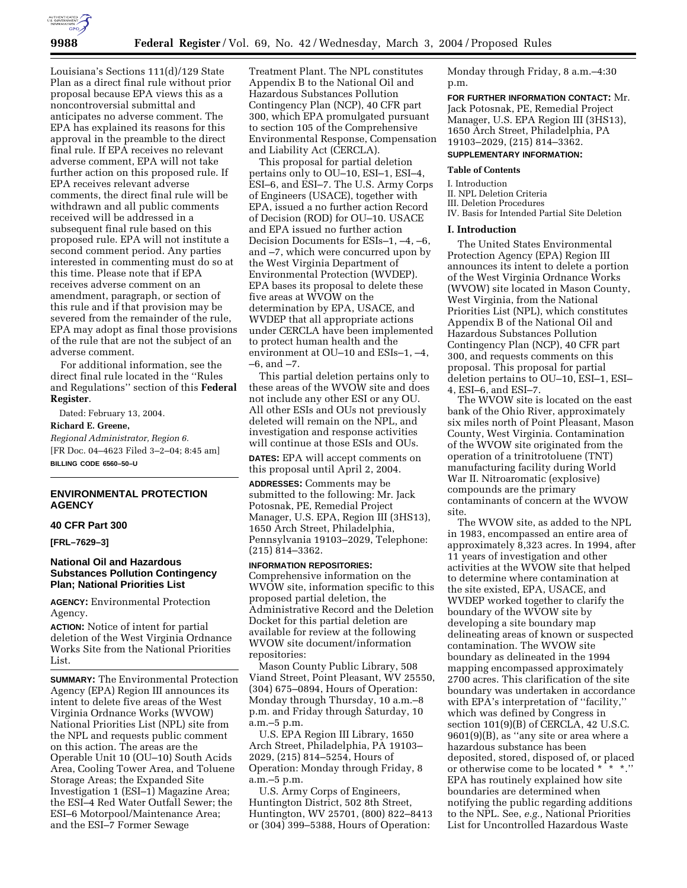

Louisiana's Sections 111(d)/129 State Plan as a direct final rule without prior proposal because EPA views this as a noncontroversial submittal and anticipates no adverse comment. The EPA has explained its reasons for this approval in the preamble to the direct final rule. If EPA receives no relevant adverse comment, EPA will not take further action on this proposed rule. If EPA receives relevant adverse comments, the direct final rule will be withdrawn and all public comments received will be addressed in a subsequent final rule based on this proposed rule. EPA will not institute a second comment period. Any parties interested in commenting must do so at this time. Please note that if EPA receives adverse comment on an amendment, paragraph, or section of this rule and if that provision may be severed from the remainder of the rule, EPA may adopt as final those provisions of the rule that are not the subject of an adverse comment.

For additional information, see the direct final rule located in the ''Rules and Regulations'' section of this **Federal Register**.

Dated: February 13, 2004. **Richard E. Greene,** 

*Regional Administrator, Region 6.* [FR Doc. 04–4623 Filed 3–2–04; 8:45 am] **BILLING CODE 6560–50–U**

# **ENVIRONMENTAL PROTECTION AGENCY**

### **40 CFR Part 300**

**[FRL–7629–3]** 

## **National Oil and Hazardous Substances Pollution Contingency Plan; National Priorities List**

**AGENCY:** Environmental Protection Agency.

**ACTION:** Notice of intent for partial deletion of the West Virginia Ordnance Works Site from the National Priorities List.

**SUMMARY:** The Environmental Protection Agency (EPA) Region III announces its intent to delete five areas of the West Virginia Ordnance Works (WVOW) National Priorities List (NPL) site from the NPL and requests public comment on this action. The areas are the Operable Unit 10 (OU–10) South Acids Area, Cooling Tower Area, and Toluene Storage Areas; the Expanded Site Investigation 1 (ESI–1) Magazine Area; the ESI–4 Red Water Outfall Sewer; the ESI–6 Motorpool/Maintenance Area; and the ESI–7 Former Sewage

Treatment Plant. The NPL constitutes Appendix B to the National Oil and Hazardous Substances Pollution Contingency Plan (NCP), 40 CFR part 300, which EPA promulgated pursuant to section 105 of the Comprehensive Environmental Response, Compensation and Liability Act (CERCLA).

This proposal for partial deletion pertains only to OU–10, ESI–1, ESI–4, ESI–6, and ESI–7. The U.S. Army Corps of Engineers (USACE), together with EPA, issued a no further action Record of Decision (ROD) for OU–10. USACE and EPA issued no further action Decision Documents for ESIs–1, –4, –6, and –7, which were concurred upon by the West Virginia Department of Environmental Protection (WVDEP). EPA bases its proposal to delete these five areas at WVOW on the determination by EPA, USACE, and WVDEP that all appropriate actions under CERCLA have been implemented to protect human health and the environment at OU–10 and ESIs–1, –4, –6, and –7.

This partial deletion pertains only to these areas of the WVOW site and does not include any other ESI or any OU. All other ESIs and OUs not previously deleted will remain on the NPL, and investigation and response activities will continue at those ESIs and OUs.

**DATES:** EPA will accept comments on this proposal until April 2, 2004.

**ADDRESSES:** Comments may be submitted to the following: Mr. Jack Potosnak, PE, Remedial Project Manager, U.S. EPA, Region III (3HS13), 1650 Arch Street, Philadelphia, Pennsylvania 19103–2029, Telephone: (215) 814–3362.

#### **INFORMATION REPOSITORIES:**

Comprehensive information on the WVOW site, information specific to this proposed partial deletion, the Administrative Record and the Deletion Docket for this partial deletion are available for review at the following WVOW site document/information repositories:

Mason County Public Library, 508 Viand Street, Point Pleasant, WV 25550, (304) 675–0894, Hours of Operation: Monday through Thursday, 10 a.m.–8 p.m. and Friday through Saturday, 10 a.m.–5 p.m.

U.S. EPA Region III Library, 1650 Arch Street, Philadelphia, PA 19103– 2029, (215) 814–5254, Hours of Operation: Monday through Friday, 8 a.m.–5 p.m.

U.S. Army Corps of Engineers, Huntington District, 502 8th Street, Huntington, WV 25701, (800) 822–8413 or (304) 399–5388, Hours of Operation:

Monday through Friday, 8 a.m.–4:30 p.m.

**FOR FURTHER INFORMATION CONTACT:** Mr. Jack Potosnak, PE, Remedial Project Manager, U.S. EPA Region III (3HS13), 1650 Arch Street, Philadelphia, PA 19103–2029, (215) 814–3362.

# **SUPPLEMENTARY INFORMATION:**

## **Table of Contents**

I. Introduction

- II. NPL Deletion Criteria
- III. Deletion Procedures
- IV. Basis for Intended Partial Site Deletion

#### **I. Introduction**

The United States Environmental Protection Agency (EPA) Region III announces its intent to delete a portion of the West Virginia Ordnance Works (WVOW) site located in Mason County, West Virginia, from the National Priorities List (NPL), which constitutes Appendix B of the National Oil and Hazardous Substances Pollution Contingency Plan (NCP), 40 CFR part 300, and requests comments on this proposal. This proposal for partial deletion pertains to OU–10, ESI–1, ESI– 4, ESI–6, and ESI–7.

The WVOW site is located on the east bank of the Ohio River, approximately six miles north of Point Pleasant, Mason County, West Virginia. Contamination of the WVOW site originated from the operation of a trinitrotoluene (TNT) manufacturing facility during World War II. Nitroaromatic (explosive) compounds are the primary contaminants of concern at the WVOW site.

The WVOW site, as added to the NPL in 1983, encompassed an entire area of approximately 8,323 acres. In 1994, after 11 years of investigation and other activities at the WVOW site that helped to determine where contamination at the site existed, EPA, USACE, and WVDEP worked together to clarify the boundary of the WVOW site by developing a site boundary map delineating areas of known or suspected contamination. The WVOW site boundary as delineated in the 1994 mapping encompassed approximately 2700 acres. This clarification of the site boundary was undertaken in accordance with EPA's interpretation of "facility," which was defined by Congress in section 101(9)(B) of CERCLA, 42 U.S.C. 9601(9)(B), as ''any site or area where a hazardous substance has been deposited, stored, disposed of, or placed or otherwise come to be located \* \* \*.'' EPA has routinely explained how site boundaries are determined when notifying the public regarding additions to the NPL. See, *e.g.,* National Priorities List for Uncontrolled Hazardous Waste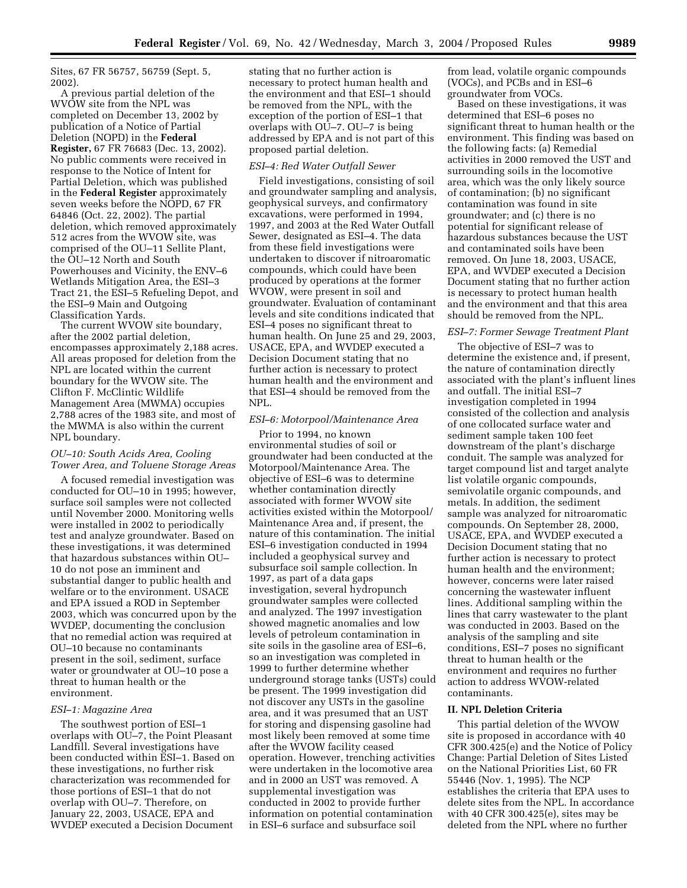Sites, 67 FR 56757, 56759 (Sept. 5, 2002).

A previous partial deletion of the WVOW site from the NPL was completed on December 13, 2002 by publication of a Notice of Partial Deletion (NOPD) in the **Federal Register,** 67 FR 76683 (Dec. 13, 2002). No public comments were received in response to the Notice of Intent for Partial Deletion, which was published in the **Federal Register** approximately seven weeks before the NOPD, 67 FR 64846 (Oct. 22, 2002). The partial deletion, which removed approximately 512 acres from the WVOW site, was comprised of the OU–11 Sellite Plant, the OU–12 North and South Powerhouses and Vicinity, the ENV–6 Wetlands Mitigation Area, the ESI–3 Tract 21, the ESI–5 Refueling Depot, and the ESI–9 Main and Outgoing Classification Yards.

The current WVOW site boundary, after the 2002 partial deletion, encompasses approximately 2,188 acres. All areas proposed for deletion from the NPL are located within the current boundary for the WVOW site. The Clifton F. McClintic Wildlife Management Area (MWMA) occupies 2,788 acres of the 1983 site, and most of the MWMA is also within the current NPL boundary.

## *OU–10: South Acids Area, Cooling Tower Area, and Toluene Storage Areas*

A focused remedial investigation was conducted for OU–10 in 1995; however, surface soil samples were not collected until November 2000. Monitoring wells were installed in 2002 to periodically test and analyze groundwater. Based on these investigations, it was determined that hazardous substances within OU– 10 do not pose an imminent and substantial danger to public health and welfare or to the environment. USACE and EPA issued a ROD in September 2003, which was concurred upon by the WVDEP, documenting the conclusion that no remedial action was required at OU–10 because no contaminants present in the soil, sediment, surface water or groundwater at OU–10 pose a threat to human health or the environment.

## *ESI–1: Magazine Area*

The southwest portion of ESI–1 overlaps with OU–7, the Point Pleasant Landfill. Several investigations have been conducted within ESI–1. Based on these investigations, no further risk characterization was recommended for those portions of ESI–1 that do not overlap with OU–7. Therefore, on January 22, 2003, USACE, EPA and WVDEP executed a Decision Document

stating that no further action is necessary to protect human health and the environment and that ESI–1 should be removed from the NPL, with the exception of the portion of ESI–1 that overlaps with OU–7. OU–7 is being addressed by EPA and is not part of this proposed partial deletion.

#### *ESI–4: Red Water Outfall Sewer*

Field investigations, consisting of soil and groundwater sampling and analysis, geophysical surveys, and confirmatory excavations, were performed in 1994, 1997, and 2003 at the Red Water Outfall Sewer, designated as ESI–4. The data from these field investigations were undertaken to discover if nitroaromatic compounds, which could have been produced by operations at the former WVOW, were present in soil and groundwater. Evaluation of contaminant levels and site conditions indicated that ESI–4 poses no significant threat to human health. On June 25 and 29, 2003, USACE, EPA, and WVDEP executed a Decision Document stating that no further action is necessary to protect human health and the environment and that ESI–4 should be removed from the NPL.

## *ESI–6: Motorpool/Maintenance Area*

Prior to 1994, no known environmental studies of soil or groundwater had been conducted at the Motorpool/Maintenance Area. The objective of ESI–6 was to determine whether contamination directly associated with former WVOW site activities existed within the Motorpool/ Maintenance Area and, if present, the nature of this contamination. The initial ESI–6 investigation conducted in 1994 included a geophysical survey and subsurface soil sample collection. In 1997, as part of a data gaps investigation, several hydropunch groundwater samples were collected and analyzed. The 1997 investigation showed magnetic anomalies and low levels of petroleum contamination in site soils in the gasoline area of ESI–6, so an investigation was completed in 1999 to further determine whether underground storage tanks (USTs) could be present. The 1999 investigation did not discover any USTs in the gasoline area, and it was presumed that an UST for storing and dispensing gasoline had most likely been removed at some time after the WVOW facility ceased operation. However, trenching activities were undertaken in the locomotive area and in 2000 an UST was removed. A supplemental investigation was conducted in 2002 to provide further information on potential contamination in ESI–6 surface and subsurface soil

from lead, volatile organic compounds (VOCs), and PCBs and in ESI–6 groundwater from VOCs.

Based on these investigations, it was determined that ESI–6 poses no significant threat to human health or the environment. This finding was based on the following facts: (a) Remedial activities in 2000 removed the UST and surrounding soils in the locomotive area, which was the only likely source of contamination; (b) no significant contamination was found in site groundwater; and (c) there is no potential for significant release of hazardous substances because the UST and contaminated soils have been removed. On June 18, 2003, USACE, EPA, and WVDEP executed a Decision Document stating that no further action is necessary to protect human health and the environment and that this area should be removed from the NPL.

## *ESI–7: Former Sewage Treatment Plant*

The objective of ESI–7 was to determine the existence and, if present, the nature of contamination directly associated with the plant's influent lines and outfall. The initial ESI–7 investigation completed in 1994 consisted of the collection and analysis of one collocated surface water and sediment sample taken 100 feet downstream of the plant's discharge conduit. The sample was analyzed for target compound list and target analyte list volatile organic compounds, semivolatile organic compounds, and metals. In addition, the sediment sample was analyzed for nitroaromatic compounds. On September 28, 2000, USACE, EPA, and WVDEP executed a Decision Document stating that no further action is necessary to protect human health and the environment; however, concerns were later raised concerning the wastewater influent lines. Additional sampling within the lines that carry wastewater to the plant was conducted in 2003. Based on the analysis of the sampling and site conditions, ESI–7 poses no significant threat to human health or the environment and requires no further action to address WVOW-related contaminants.

## **II. NPL Deletion Criteria**

This partial deletion of the WVOW site is proposed in accordance with 40 CFR 300.425(e) and the Notice of Policy Change: Partial Deletion of Sites Listed on the National Priorities List, 60 FR 55446 (Nov. 1, 1995). The NCP establishes the criteria that EPA uses to delete sites from the NPL. In accordance with 40 CFR 300.425(e), sites may be deleted from the NPL where no further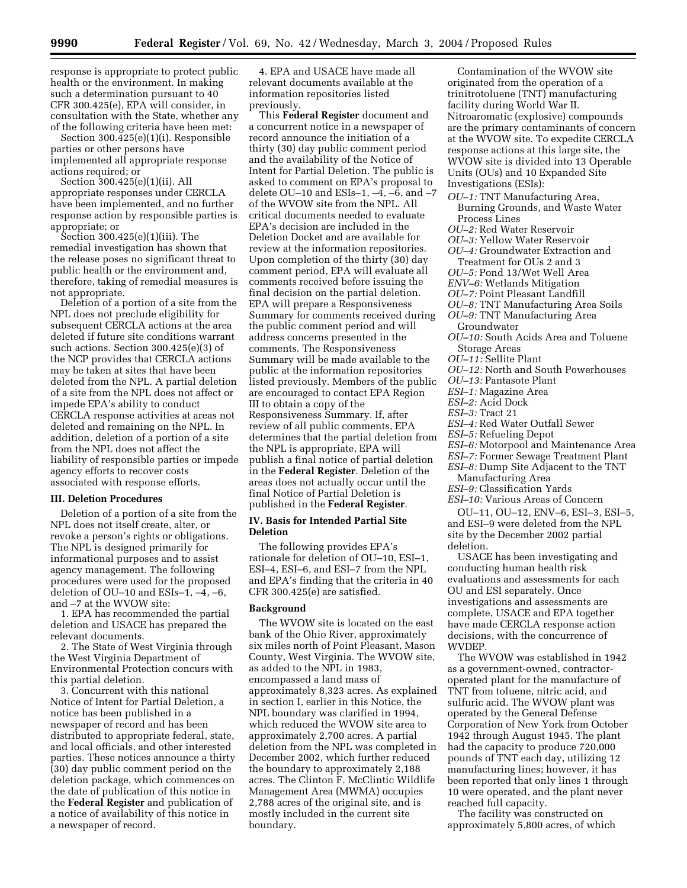response is appropriate to protect public health or the environment. In making such a determination pursuant to 40 CFR 300.425(e), EPA will consider, in consultation with the State, whether any of the following criteria have been met:

Section 300.425(e)(1)(i). Responsible parties or other persons have implemented all appropriate response actions required; or

Section 300.425(e)(1)(ii). All appropriate responses under CERCLA have been implemented, and no further response action by responsible parties is appropriate; or

Section 300.425(e)(1)(iii). The remedial investigation has shown that the release poses no significant threat to public health or the environment and, therefore, taking of remedial measures is not appropriate.

Deletion of a portion of a site from the NPL does not preclude eligibility for subsequent CERCLA actions at the area deleted if future site conditions warrant such actions. Section 300.425(e)(3) of the NCP provides that CERCLA actions may be taken at sites that have been deleted from the NPL. A partial deletion of a site from the NPL does not affect or impede EPA's ability to conduct CERCLA response activities at areas not deleted and remaining on the NPL. In addition, deletion of a portion of a site from the NPL does not affect the liability of responsible parties or impede agency efforts to recover costs associated with response efforts.

## **III. Deletion Procedures**

Deletion of a portion of a site from the NPL does not itself create, alter, or revoke a person's rights or obligations. The NPL is designed primarily for informational purposes and to assist agency management. The following procedures were used for the proposed deletion of OU–10 and ESIs–1, –4, –6, and –7 at the WVOW site:

1. EPA has recommended the partial deletion and USACE has prepared the relevant documents.

2. The State of West Virginia through the West Virginia Department of Environmental Protection concurs with this partial deletion.

3. Concurrent with this national Notice of Intent for Partial Deletion, a notice has been published in a newspaper of record and has been distributed to appropriate federal, state, and local officials, and other interested parties. These notices announce a thirty (30) day public comment period on the deletion package, which commences on the date of publication of this notice in the **Federal Register** and publication of a notice of availability of this notice in a newspaper of record.

4. EPA and USACE have made all relevant documents available at the information repositories listed previously.

This **Federal Register** document and a concurrent notice in a newspaper of record announce the initiation of a thirty (30) day public comment period and the availability of the Notice of Intent for Partial Deletion. The public is asked to comment on EPA's proposal to delete OU–10 and ESIs–1,  $-4$ ,  $-6$ , and  $-7$ of the WVOW site from the NPL. All critical documents needed to evaluate EPA's decision are included in the Deletion Docket and are available for review at the information repositories. Upon completion of the thirty (30) day comment period, EPA will evaluate all comments received before issuing the final decision on the partial deletion. EPA will prepare a Responsiveness Summary for comments received during the public comment period and will address concerns presented in the comments. The Responsiveness Summary will be made available to the public at the information repositories listed previously. Members of the public are encouraged to contact EPA Region III to obtain a copy of the Responsiveness Summary. If, after review of all public comments, EPA determines that the partial deletion from the NPL is appropriate, EPA will publish a final notice of partial deletion in the **Federal Register**. Deletion of the areas does not actually occur until the final Notice of Partial Deletion is published in the **Federal Register**.

## **IV. Basis for Intended Partial Site Deletion**

The following provides EPA's rationale for deletion of OU–10, ESI–1, ESI–4, ESI–6, and ESI–7 from the NPL and EPA's finding that the criteria in 40 CFR 300.425(e) are satisfied.

# **Background**

The WVOW site is located on the east bank of the Ohio River, approximately six miles north of Point Pleasant, Mason County, West Virginia. The WVOW site, as added to the NPL in 1983, encompassed a land mass of approximately 8,323 acres. As explained in section I, earlier in this Notice, the NPL boundary was clarified in 1994, which reduced the WVOW site area to approximately 2,700 acres. A partial deletion from the NPL was completed in December 2002, which further reduced the boundary to approximately 2,188 acres. The Clinton F. McClintic Wildlife Management Area (MWMA) occupies 2,788 acres of the original site, and is mostly included in the current site boundary.

Contamination of the WVOW site originated from the operation of a trinitrotoluene (TNT) manufacturing facility during World War II. Nitroaromatic (explosive) compounds are the primary contaminants of concern at the WVOW site. To expedite CERCLA response actions at this large site, the WVOW site is divided into 13 Operable Units (OUs) and 10 Expanded Site Investigations (ESIs):

- *OU–1:* TNT Manufacturing Area, Burning Grounds, and Waste Water Process Lines
- *OU–2:* Red Water Reservoir
- *OU–3:* Yellow Water Reservoir
- *OU–4:* Groundwater Extraction and Treatment for OUs 2 and 3
- *OU–5:* Pond 13/Wet Well Area
- *ENV–6:* Wetlands Mitigation
- *OU–7:* Point Pleasant Landfill
- *OU–8:* TNT Manufacturing Area Soils *OU–9:* TNT Manufacturing Area
- Groundwater
- *OU–10:* South Acids Area and Toluene Storage Areas
- *OU–11:* Sellite Plant
- *OU–12:* North and South Powerhouses
- *OU–13:* Pantasote Plant
- *ESI–1:* Magazine Area
- *ESI–2:* Acid Dock
- *ESI–3:* Tract 21
- *ESI–4:* Red Water Outfall Sewer
- *ESI–5:* Refueling Depot
- *ESI–6:* Motorpool and Maintenance Area
- *ESI–7:* Former Sewage Treatment Plant
- *ESI–8:* Dump Site Adjacent to the TNT Manufacturing Area
- *ESI–9:* Classification Yards
- *ESI–10:* Various Areas of Concern

OU–11, OU–12, ENV–6, ESI–3, ESI–5, and ESI–9 were deleted from the NPL site by the December 2002 partial deletion.

USACE has been investigating and conducting human health risk evaluations and assessments for each OU and ESI separately. Once investigations and assessments are complete, USACE and EPA together have made CERCLA response action decisions, with the concurrence of WVDEP.

The WVOW was established in 1942 as a government-owned, contractoroperated plant for the manufacture of TNT from toluene, nitric acid, and sulfuric acid. The WVOW plant was operated by the General Defense Corporation of New York from October 1942 through August 1945. The plant had the capacity to produce 720,000 pounds of TNT each day, utilizing 12 manufacturing lines; however, it has been reported that only lines 1 through 10 were operated, and the plant never reached full capacity.

The facility was constructed on approximately 5,800 acres, of which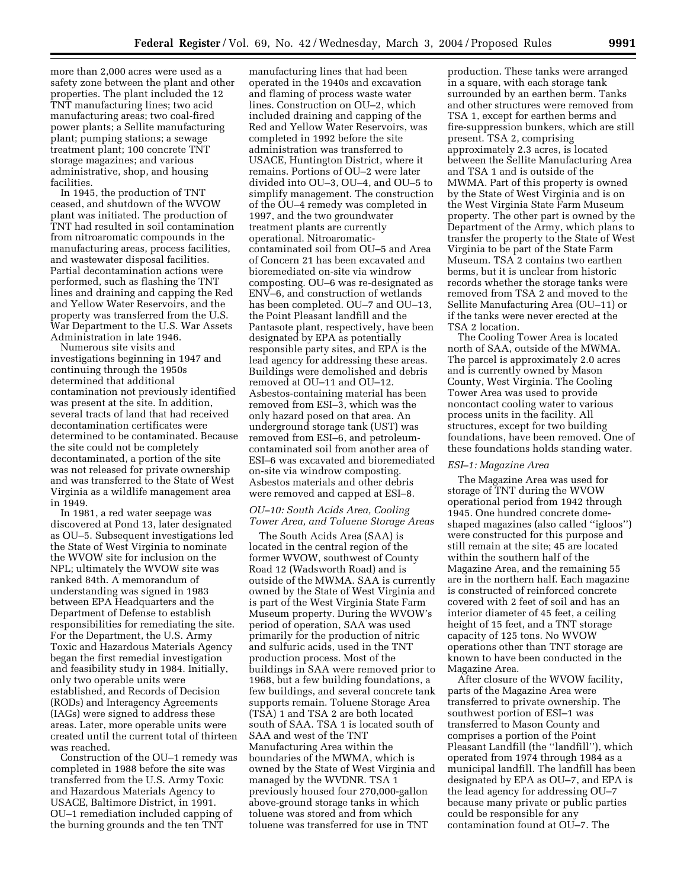more than 2,000 acres were used as a safety zone between the plant and other properties. The plant included the 12 TNT manufacturing lines; two acid manufacturing areas; two coal-fired power plants; a Sellite manufacturing plant; pumping stations; a sewage treatment plant; 100 concrete TNT storage magazines; and various administrative, shop, and housing facilities.

In 1945, the production of TNT ceased, and shutdown of the WVOW plant was initiated. The production of TNT had resulted in soil contamination from nitroaromatic compounds in the manufacturing areas, process facilities, and wastewater disposal facilities. Partial decontamination actions were performed, such as flashing the TNT lines and draining and capping the Red and Yellow Water Reservoirs, and the property was transferred from the U.S. War Department to the U.S. War Assets Administration in late 1946.

Numerous site visits and investigations beginning in 1947 and continuing through the 1950s determined that additional contamination not previously identified was present at the site. In addition, several tracts of land that had received decontamination certificates were determined to be contaminated. Because the site could not be completely decontaminated, a portion of the site was not released for private ownership and was transferred to the State of West Virginia as a wildlife management area in 1949.

In 1981, a red water seepage was discovered at Pond 13, later designated as OU–5. Subsequent investigations led the State of West Virginia to nominate the WVOW site for inclusion on the NPL; ultimately the WVOW site was ranked 84th. A memorandum of understanding was signed in 1983 between EPA Headquarters and the Department of Defense to establish responsibilities for remediating the site. For the Department, the U.S. Army Toxic and Hazardous Materials Agency began the first remedial investigation and feasibility study in 1984. Initially, only two operable units were established, and Records of Decision (RODs) and Interagency Agreements (IAGs) were signed to address these areas. Later, more operable units were created until the current total of thirteen was reached.

Construction of the OU–1 remedy was completed in 1988 before the site was transferred from the U.S. Army Toxic and Hazardous Materials Agency to USACE, Baltimore District, in 1991. OU–1 remediation included capping of the burning grounds and the ten TNT

manufacturing lines that had been operated in the 1940s and excavation and flaming of process waste water lines. Construction on OU–2, which included draining and capping of the Red and Yellow Water Reservoirs, was completed in 1992 before the site administration was transferred to USACE, Huntington District, where it remains. Portions of OU–2 were later divided into OU–3, OU–4, and OU–5 to simplify management. The construction of the OU–4 remedy was completed in 1997, and the two groundwater treatment plants are currently operational. Nitroaromaticcontaminated soil from OU–5 and Area of Concern 21 has been excavated and bioremediated on-site via windrow composting. OU–6 was re-designated as ENV–6, and construction of wetlands has been completed. OU–7 and OU–13, the Point Pleasant landfill and the Pantasote plant, respectively, have been designated by EPA as potentially responsible party sites, and EPA is the lead agency for addressing these areas. Buildings were demolished and debris removed at OU–11 and OU–12. Asbestos-containing material has been removed from ESI–3, which was the only hazard posed on that area. An underground storage tank (UST) was removed from ESI–6, and petroleumcontaminated soil from another area of ESI–6 was excavated and bioremediated on-site via windrow composting. Asbestos materials and other debris were removed and capped at ESI–8.

## *OU–10: South Acids Area, Cooling Tower Area, and Toluene Storage Areas*

The South Acids Area (SAA) is located in the central region of the former WVOW, southwest of County Road 12 (Wadsworth Road) and is outside of the MWMA. SAA is currently owned by the State of West Virginia and is part of the West Virginia State Farm Museum property. During the WVOW's period of operation, SAA was used primarily for the production of nitric and sulfuric acids, used in the TNT production process. Most of the buildings in SAA were removed prior to 1968, but a few building foundations, a few buildings, and several concrete tank supports remain. Toluene Storage Area (TSA) 1 and TSA 2 are both located south of SAA. TSA 1 is located south of SAA and west of the TNT Manufacturing Area within the boundaries of the MWMA, which is owned by the State of West Virginia and managed by the WVDNR. TSA 1 previously housed four 270,000-gallon above-ground storage tanks in which toluene was stored and from which toluene was transferred for use in TNT

production. These tanks were arranged in a square, with each storage tank surrounded by an earthen berm. Tanks and other structures were removed from TSA 1, except for earthen berms and fire-suppression bunkers, which are still present. TSA 2, comprising approximately 2.3 acres, is located between the Sellite Manufacturing Area and TSA 1 and is outside of the MWMA. Part of this property is owned by the State of West Virginia and is on the West Virginia State Farm Museum property. The other part is owned by the Department of the Army, which plans to transfer the property to the State of West Virginia to be part of the State Farm Museum. TSA 2 contains two earthen berms, but it is unclear from historic records whether the storage tanks were removed from TSA 2 and moved to the Sellite Manufacturing Area (OU–11) or if the tanks were never erected at the TSA 2 location.

The Cooling Tower Area is located north of SAA, outside of the MWMA. The parcel is approximately 2.0 acres and is currently owned by Mason County, West Virginia. The Cooling Tower Area was used to provide noncontact cooling water to various process units in the facility. All structures, except for two building foundations, have been removed. One of these foundations holds standing water.

#### *ESI–1: Magazine Area*

The Magazine Area was used for storage of TNT during the WVOW operational period from 1942 through 1945. One hundred concrete domeshaped magazines (also called ''igloos'') were constructed for this purpose and still remain at the site; 45 are located within the southern half of the Magazine Area, and the remaining 55 are in the northern half. Each magazine is constructed of reinforced concrete covered with 2 feet of soil and has an interior diameter of 45 feet, a ceiling height of 15 feet, and a TNT storage capacity of 125 tons. No WVOW operations other than TNT storage are known to have been conducted in the Magazine Area.

After closure of the WVOW facility, parts of the Magazine Area were transferred to private ownership. The southwest portion of ESI–1 was transferred to Mason County and comprises a portion of the Point Pleasant Landfill (the ''landfill''), which operated from 1974 through 1984 as a municipal landfill. The landfill has been designated by EPA as OU–7, and EPA is the lead agency for addressing OU–7 because many private or public parties could be responsible for any contamination found at OU–7. The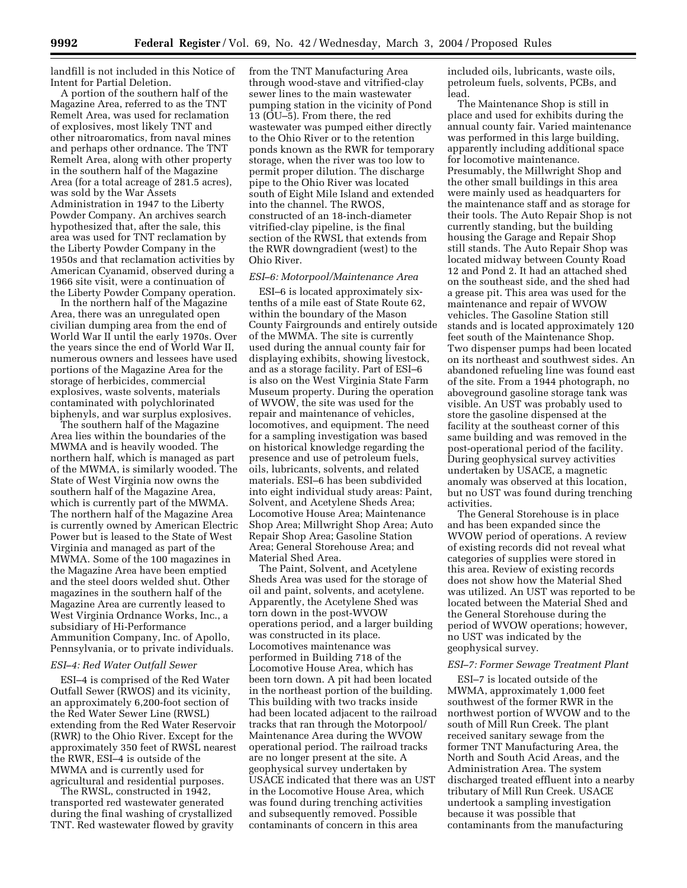landfill is not included in this Notice of Intent for Partial Deletion.

A portion of the southern half of the Magazine Area, referred to as the TNT Remelt Area, was used for reclamation of explosives, most likely TNT and other nitroaromatics, from naval mines and perhaps other ordnance. The TNT Remelt Area, along with other property in the southern half of the Magazine Area (for a total acreage of 281.5 acres), was sold by the War Assets Administration in 1947 to the Liberty Powder Company. An archives search hypothesized that, after the sale, this area was used for TNT reclamation by the Liberty Powder Company in the 1950s and that reclamation activities by American Cyanamid, observed during a 1966 site visit, were a continuation of the Liberty Powder Company operation.

In the northern half of the Magazine Area, there was an unregulated open civilian dumping area from the end of World War II until the early 1970s. Over the years since the end of World War II, numerous owners and lessees have used portions of the Magazine Area for the storage of herbicides, commercial explosives, waste solvents, materials contaminated with polychlorinated biphenyls, and war surplus explosives.

The southern half of the Magazine Area lies within the boundaries of the MWMA and is heavily wooded. The northern half, which is managed as part of the MWMA, is similarly wooded. The State of West Virginia now owns the southern half of the Magazine Area, which is currently part of the MWMA. The northern half of the Magazine Area is currently owned by American Electric Power but is leased to the State of West Virginia and managed as part of the MWMA. Some of the 100 magazines in the Magazine Area have been emptied and the steel doors welded shut. Other magazines in the southern half of the Magazine Area are currently leased to West Virginia Ordnance Works, Inc., a subsidiary of Hi-Performance Ammunition Company, Inc. of Apollo, Pennsylvania, or to private individuals.

## *ESI–4: Red Water Outfall Sewer*

ESI–4 is comprised of the Red Water Outfall Sewer (RWOS) and its vicinity, an approximately 6,200-foot section of the Red Water Sewer Line (RWSL) extending from the Red Water Reservoir (RWR) to the Ohio River. Except for the approximately 350 feet of RWSL nearest the RWR, ESI–4 is outside of the MWMA and is currently used for agricultural and residential purposes.

The RWSL, constructed in 1942, transported red wastewater generated during the final washing of crystallized TNT. Red wastewater flowed by gravity

from the TNT Manufacturing Area through wood-stave and vitrified-clay sewer lines to the main wastewater pumping station in the vicinity of Pond 13 (OU–5). From there, the red wastewater was pumped either directly to the Ohio River or to the retention ponds known as the RWR for temporary storage, when the river was too low to permit proper dilution. The discharge pipe to the Ohio River was located south of Eight Mile Island and extended into the channel. The RWOS, constructed of an 18-inch-diameter vitrified-clay pipeline, is the final section of the RWSL that extends from the RWR downgradient (west) to the Ohio River.

#### *ESI–6: Motorpool/Maintenance Area*

ESI–6 is located approximately sixtenths of a mile east of State Route 62, within the boundary of the Mason County Fairgrounds and entirely outside of the MWMA. The site is currently used during the annual county fair for displaying exhibits, showing livestock, and as a storage facility. Part of ESI–6 is also on the West Virginia State Farm Museum property. During the operation of WVOW, the site was used for the repair and maintenance of vehicles, locomotives, and equipment. The need for a sampling investigation was based on historical knowledge regarding the presence and use of petroleum fuels, oils, lubricants, solvents, and related materials. ESI–6 has been subdivided into eight individual study areas: Paint, Solvent, and Acetylene Sheds Area; Locomotive House Area; Maintenance Shop Area; Millwright Shop Area; Auto Repair Shop Area; Gasoline Station Area; General Storehouse Area; and Material Shed Area.

The Paint, Solvent, and Acetylene Sheds Area was used for the storage of oil and paint, solvents, and acetylene. Apparently, the Acetylene Shed was torn down in the post-WVOW operations period, and a larger building was constructed in its place. Locomotives maintenance was performed in Building 718 of the Locomotive House Area, which has been torn down. A pit had been located in the northeast portion of the building. This building with two tracks inside had been located adjacent to the railroad tracks that ran through the Motorpool/ Maintenance Area during the WVOW operational period. The railroad tracks are no longer present at the site. A geophysical survey undertaken by USACE indicated that there was an UST in the Locomotive House Area, which was found during trenching activities and subsequently removed. Possible contaminants of concern in this area

included oils, lubricants, waste oils, petroleum fuels, solvents, PCBs, and lead.

The Maintenance Shop is still in place and used for exhibits during the annual county fair. Varied maintenance was performed in this large building, apparently including additional space for locomotive maintenance. Presumably, the Millwright Shop and the other small buildings in this area were mainly used as headquarters for the maintenance staff and as storage for their tools. The Auto Repair Shop is not currently standing, but the building housing the Garage and Repair Shop still stands. The Auto Repair Shop was located midway between County Road 12 and Pond 2. It had an attached shed on the southeast side, and the shed had a grease pit. This area was used for the maintenance and repair of WVOW vehicles. The Gasoline Station still stands and is located approximately 120 feet south of the Maintenance Shop. Two dispenser pumps had been located on its northeast and southwest sides. An abandoned refueling line was found east of the site. From a 1944 photograph, no aboveground gasoline storage tank was visible. An UST was probably used to store the gasoline dispensed at the facility at the southeast corner of this same building and was removed in the post-operational period of the facility. During geophysical survey activities undertaken by USACE, a magnetic anomaly was observed at this location, but no UST was found during trenching activities.

The General Storehouse is in place and has been expanded since the WVOW period of operations. A review of existing records did not reveal what categories of supplies were stored in this area. Review of existing records does not show how the Material Shed was utilized. An UST was reported to be located between the Material Shed and the General Storehouse during the period of WVOW operations; however, no UST was indicated by the geophysical survey.

### *ESI–7: Former Sewage Treatment Plant*

ESI–7 is located outside of the MWMA, approximately 1,000 feet southwest of the former RWR in the northwest portion of WVOW and to the south of Mill Run Creek. The plant received sanitary sewage from the former TNT Manufacturing Area, the North and South Acid Areas, and the Administration Area. The system discharged treated effluent into a nearby tributary of Mill Run Creek. USACE undertook a sampling investigation because it was possible that contaminants from the manufacturing